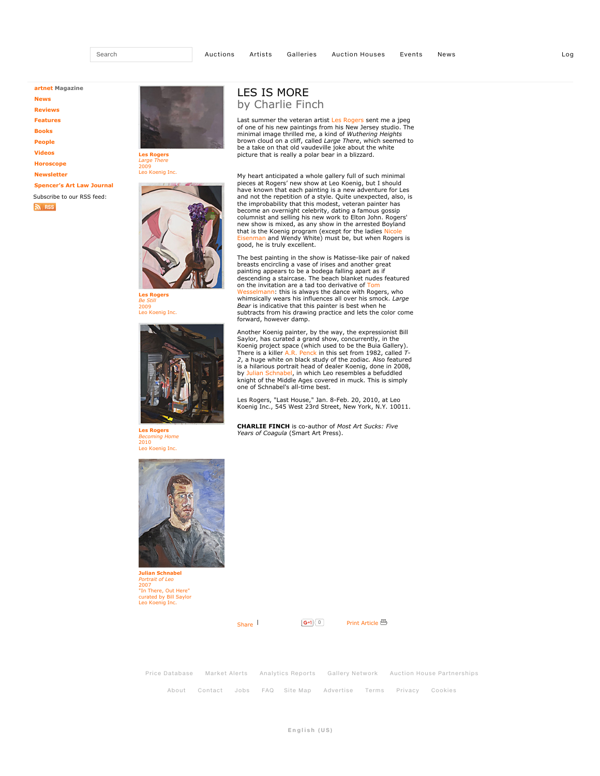**artnet Magazine**

**News**

**Reviews**

**Features**

**Books**

**People**

**Videos**

**Horoscope**

**Newsletter**

**Spencer's Art Law Journal** Subscribe to our RSS feed:

 $\mathbb{R}$  RSS



**Les Rogers** *Large There* 2009 Leo Koenig Inc.



*Be Still* 2009 Leo Koenig Inc.



**Les Rogers** *Becoming Home* 2010 Leo Koenig Inc.

## LES IS MORE by Charlie Finch

Last summer the veteran artist Les Rogers sent me a jpeg<br>of one of his new paintings from his New Jersey studio. The minimal image thrilled me, a kind of *Wuthering Heights* brown cloud on a cliff, called *Large There*, which seemed to be a take on that old vaudeville joke about the white picture that is really a polar bear in a blizzard.

My heart anticipated a whole gallery full of such minimal pieces at Rogers' new show at Leo Koenig, but I should have known that each painting is a new adventure for Les and not the repetition of a style. Quite unexpected, also, is the improbability that this modest, veteran painter has become an overnight celebrity, dating a famous gossip columnist and selling his new work to Elton John. Rogers' new show is mixed, as any show in the arrested Boyland that is the Koenig program (except for the ladies <mark>Nicole</mark><br>Eisenman and Wendy White) must be, but when Rogers is good, he is truly excellent.

The best painting in the show is Matisse-like pair of naked<br>breasts encircling a vase of irises and another great<br>painting appears to be a bodega falling apart as if descending a staircase. The beach blanket nudes featured<br>on the invitation are a tad too derivative of Tom mann: this is always the dance with Rogers, who whimsically wears his influences all over his smock. *Large Bear* is indicative that this painter is best when he subtracts from his drawing practice and lets the color come forward, however damp.

Another Koenig painter, by the way, the expressionist Bill Saylor, has curated a grand show, concurrently, in the Koenig project space (which used to be the Buia Gallery). There is a killer A.R. Penck in this set from 1982, called *T-2*, a huge white on black study of the zodiac. Also featured is a hilarious portrait head of dealer Koenig, done in 2008,<br>by J<mark>ulian Schnabel,</mark> in which Leo resembles a befuddled<br>knight of the Middle Ages covered in muck. This is simply one of Schnabel's all-time best.

Les Rogers, "Last House," Jan. 8Feb. 20, 2010, at Leo Koenig Inc., 545 West 23rd Street, New York, N.Y. 10011.

**CHARLIE FINCH** is co-author of *Most Art Sucks: Five Years of Coagula* (Smart Art Press).



**Julian Schnabel** *Portrait of Leo* 2007 "In There, Out Here" curated by Bill Saylor Leo Koenig Inc.

 $\frac{1}{\sqrt{2}}$  Share  $\frac{1}{\sqrt{2}}$  Share  $\frac{1}{\sqrt{2}}$ 



Price Database Market Alerts Analytics Reports Gallery Network Auction House Partnerships About Contact Jobs FAQ Site Map Advertise Terms Privacy Cookies